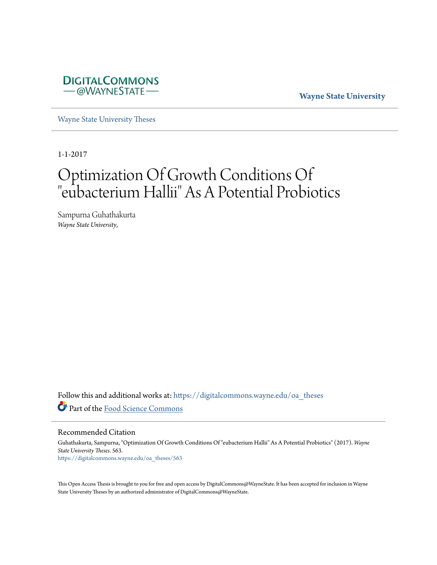

**Wayne State University**

[Wayne State University Theses](https://digitalcommons.wayne.edu/oa_theses?utm_source=digitalcommons.wayne.edu%2Foa_theses%2F563&utm_medium=PDF&utm_campaign=PDFCoverPages)

1-1-2017

# Optimization Of Growth Conditions Of "eubacterium Hallii" As A Potential Probiotics

Sampurna Guhathakurta *Wayne State University*,

Follow this and additional works at: [https://digitalcommons.wayne.edu/oa\\_theses](https://digitalcommons.wayne.edu/oa_theses?utm_source=digitalcommons.wayne.edu%2Foa_theses%2F563&utm_medium=PDF&utm_campaign=PDFCoverPages) Part of the [Food Science Commons](http://network.bepress.com/hgg/discipline/84?utm_source=digitalcommons.wayne.edu%2Foa_theses%2F563&utm_medium=PDF&utm_campaign=PDFCoverPages)

Recommended Citation

Guhathakurta, Sampurna, "Optimization Of Growth Conditions Of "eubacterium Hallii" As A Potential Probiotics" (2017). *Wayne State University Theses*. 563. [https://digitalcommons.wayne.edu/oa\\_theses/563](https://digitalcommons.wayne.edu/oa_theses/563?utm_source=digitalcommons.wayne.edu%2Foa_theses%2F563&utm_medium=PDF&utm_campaign=PDFCoverPages)

This Open Access Thesis is brought to you for free and open access by DigitalCommons@WayneState. It has been accepted for inclusion in Wayne State University Theses by an authorized administrator of DigitalCommons@WayneState.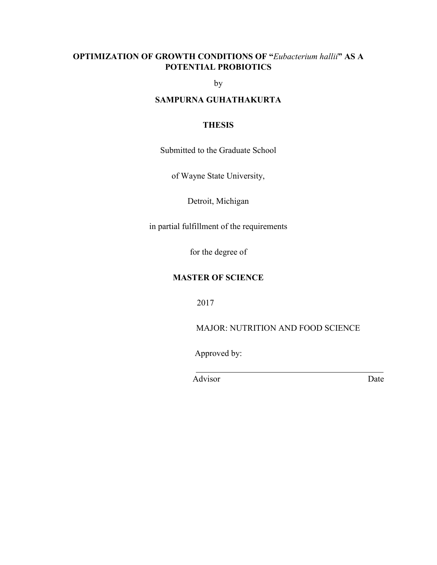# **OPTIMIZATION OF GROWTH CONDITIONS OF "***Eubacterium hallii***" AS A POTENTIAL PROBIOTICS**

by

# **SAMPURNA GUHATHAKURTA**

# **THESIS**

Submitted to the Graduate School

of Wayne State University,

Detroit, Michigan

in partial fulfillment of the requirements

for the degree of

## **MASTER OF SCIENCE**

2017

MAJOR: NUTRITION AND FOOD SCIENCE

Approved by:

Advisor Date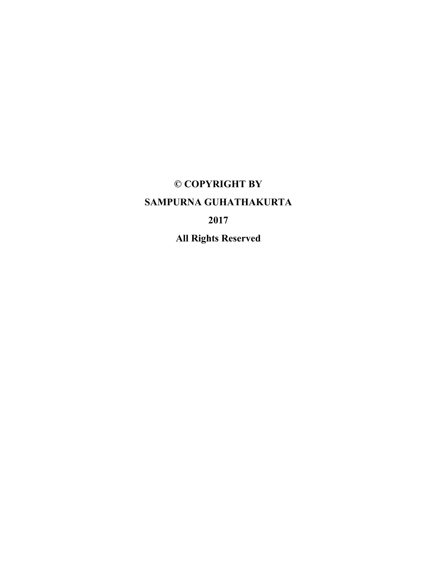# **© COPYRIGHT BY SAMPURNA GUHATHAKURTA 2017 All Rights Reserved**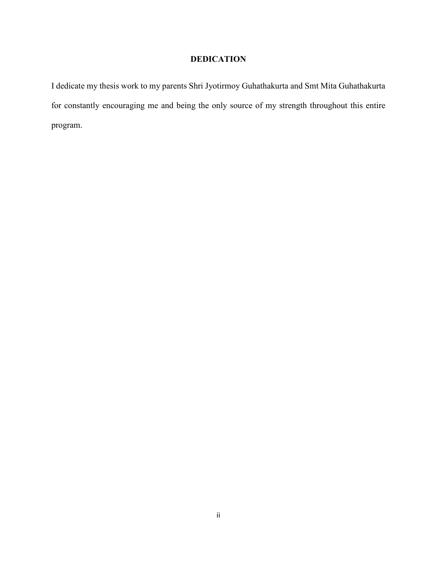# **DEDICATION**

I dedicate my thesis work to my parents Shri Jyotirmoy Guhathakurta and Smt Mita Guhathakurta for constantly encouraging me and being the only source of my strength throughout this entire program.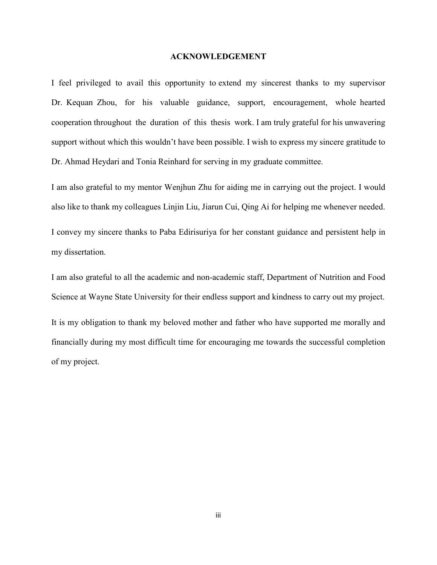#### **ACKNOWLEDGEMENT**

I feel privileged to avail this opportunity to extend my sincerest thanks to my supervisor Dr. Kequan Zhou, for his valuable guidance, support, encouragement, whole hearted cooperation throughout the duration of this thesis work. I am truly grateful for his unwavering support without which this wouldn't have been possible. I wish to express my sincere gratitude to Dr. Ahmad Heydari and Tonia Reinhard for serving in my graduate committee.

I am also grateful to my mentor Wenjhun Zhu for aiding me in carrying out the project. I would also like to thank my colleagues Linjin Liu, Jiarun Cui, Qing Ai for helping me whenever needed. I convey my sincere thanks to Paba Edirisuriya for her constant guidance and persistent help in my dissertation.

I am also grateful to all the academic and non-academic staff, Department of Nutrition and Food Science at Wayne State University for their endless support and kindness to carry out my project.

It is my obligation to thank my beloved mother and father who have supported me morally and financially during my most difficult time for encouraging me towards the successful completion of my project.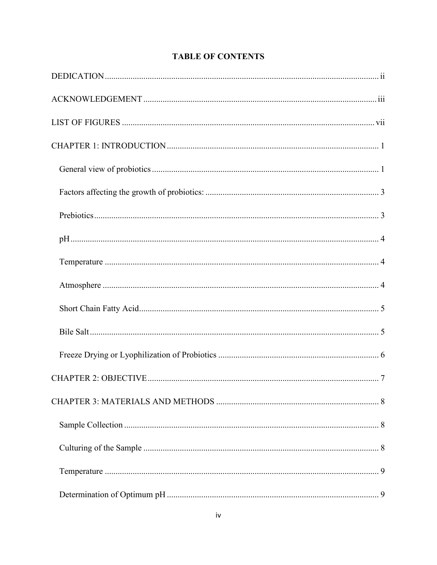# **TABLE OF CONTENTS**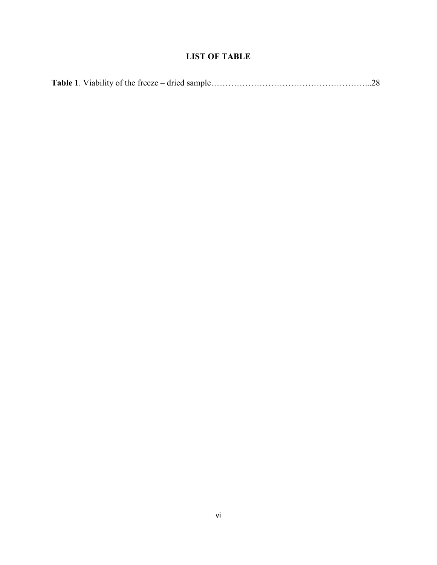# **LIST OF TABLE**

|--|--|--|--|--|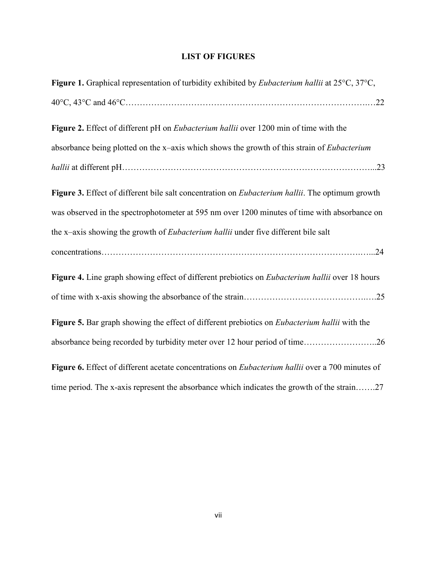# **LIST OF FIGURES**

| Figure 1. Graphical representation of turbidity exhibited by Eubacterium hallii at 25°C, 37°C,          |
|---------------------------------------------------------------------------------------------------------|
|                                                                                                         |
| Figure 2. Effect of different pH on <i>Eubacterium hallii</i> over 1200 min of time with the            |
| absorbance being plotted on the x-axis which shows the growth of this strain of <i>Eubacterium</i>      |
|                                                                                                         |
| Figure 3. Effect of different bile salt concentration on <i>Eubacterium hallii</i> . The optimum growth |
| was observed in the spectrophotometer at 595 nm over 1200 minutes of time with absorbance on            |
| the x-axis showing the growth of <i>Eubacterium hallii</i> under five different bile salt               |
|                                                                                                         |
| Figure 4. Line graph showing effect of different prebiotics on <i>Eubacterium hallii</i> over 18 hours  |
|                                                                                                         |
| Figure 5. Bar graph showing the effect of different prebiotics on <i>Eubacterium hallii</i> with the    |
| absorbance being recorded by turbidity meter over 12 hour period of time26                              |
| Figure 6. Effect of different acetate concentrations on Eubacterium hallii over a 700 minutes of        |
| time period. The x-axis represent the absorbance which indicates the growth of the strain27             |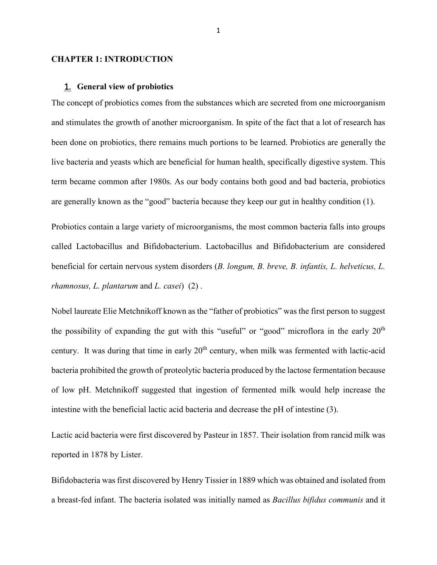#### **CHAPTER 1: INTRODUCTION**

#### 1. **General view of probiotics**

The concept of probiotics comes from the substances which are secreted from one microorganism and stimulates the growth of another microorganism. In spite of the fact that a lot of research has been done on probiotics, there remains much portions to be learned. Probiotics are generally the live bacteria and yeasts which are beneficial for human health, specifically digestive system. This term became common after 1980s. As our body contains both good and bad bacteria, probiotics are generally known as the "good" bacteria because they keep our gut in healthy condition (1).

Probiotics contain a large variety of microorganisms, the most common bacteria falls into groups called Lactobacillus and Bifidobacterium. Lactobacillus and Bifidobacterium are considered beneficial for certain nervous system disorders (*B. longum, B. breve, B. infantis, L. helveticus, L. rhamnosus, L. plantarum* and *L. casei*) (2) .

Nobel laureate Elie Metchnikoff known as the "father of probiotics" was the first person to suggest the possibility of expanding the gut with this "useful" or "good" microflora in the early  $20<sup>th</sup>$ century. It was during that time in early  $20<sup>th</sup>$  century, when milk was fermented with lactic-acid bacteria prohibited the growth of proteolytic bacteria produced by the lactose fermentation because of low pH. Metchnikoff suggested that ingestion of fermented milk would help increase the intestine with the beneficial lactic acid bacteria and decrease the pH of intestine (3).

Lactic acid bacteria were first discovered by Pasteur in 1857. Their isolation from rancid milk was reported in 1878 by Lister.

Bifidobacteria was first discovered by Henry Tissier in 1889 which was obtained and isolated from a breast-fed infant. The bacteria isolated was initially named as *Bacillus bifidus communis* and it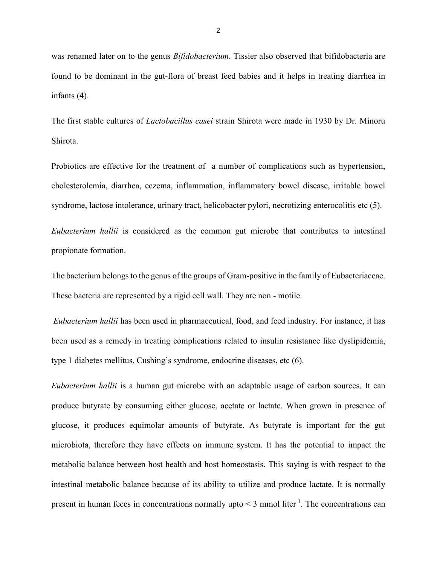was renamed later on to the genus *Bifidobacterium*. Tissier also observed that bifidobacteria are found to be dominant in the gut-flora of breast feed babies and it helps in treating diarrhea in infants (4).

The first stable cultures of *Lactobacillus casei* strain Shirota were made in 1930 by Dr. Minoru Shirota.

Probiotics are effective for the treatment of a number of complications such as hypertension, cholesterolemia, diarrhea, eczema, inflammation, inflammatory bowel disease, irritable bowel syndrome, lactose intolerance, urinary tract, helicobacter pylori, necrotizing enterocolitis etc (5).

*Eubacterium hallii* is considered as the common gut microbe that contributes to intestinal propionate formation.

The bacterium belongs to the genus of the groups of Gram-positive in the family of Eubacteriaceae. These bacteria are represented by a rigid cell wall. They are non - motile.

*Eubacterium hallii* has been used in pharmaceutical, food, and feed industry. For instance, it has been used as a remedy in treating complications related to insulin resistance like dyslipidemia, type 1 diabetes mellitus, Cushing's syndrome, endocrine diseases, etc (6).

*Eubacterium hallii* is a human gut microbe with an adaptable usage of carbon sources. It can produce butyrate by consuming either glucose, acetate or lactate. When grown in presence of glucose, it produces equimolar amounts of butyrate. As butyrate is important for the gut microbiota, therefore they have effects on immune system. It has the potential to impact the metabolic balance between host health and host homeostasis. This saying is with respect to the intestinal metabolic balance because of its ability to utilize and produce lactate. It is normally present in human feces in concentrations normally upto  $\leq$  3 mmol liter<sup>-1</sup>. The concentrations can

2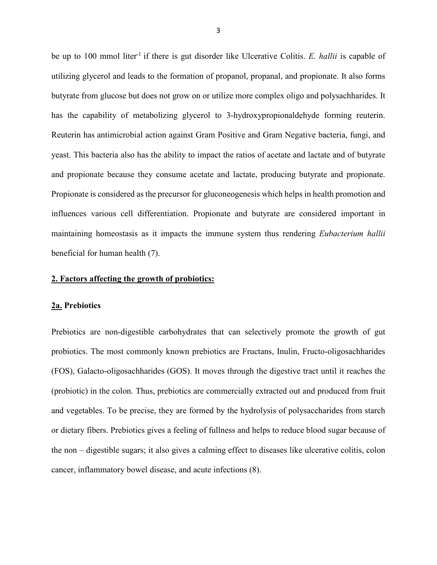be up to 100 mmol liter<sup>-1</sup> if there is gut disorder like Ulcerative Colitis. *E. hallii* is capable of utilizing glycerol and leads to the formation of propanol, propanal, and propionate. It also forms butyrate from glucose but does not grow on or utilize more complex oligo and polysachharides. It has the capability of metabolizing glycerol to 3-hydroxypropionaldehyde forming reuterin. Reuterin has antimicrobial action against Gram Positive and Gram Negative bacteria, fungi, and yeast. This bacteria also has the ability to impact the ratios of acetate and lactate and of butyrate and propionate because they consume acetate and lactate, producing butyrate and propionate. Propionate is considered as the precursor for gluconeogenesis which helps in health promotion and influences various cell differentiation. Propionate and butyrate are considered important in maintaining homeostasis as it impacts the immune system thus rendering *Eubacterium hallii* beneficial for human health (7).

## **2. Factors affecting the growth of probiotics:**

#### **2a. Prebiotics**

Prebiotics are non-digestible carbohydrates that can selectively promote the growth of gut probiotics. The most commonly known prebiotics are Fructans, Inulin, Fructo-oligosachharides (FOS), Galacto-oligosachharides (GOS). It moves through the digestive tract until it reaches the (probiotic) in the colon. Thus, prebiotics are commercially extracted out and produced from fruit and vegetables. To be precise, they are formed by the hydrolysis of polysaccharides from starch or dietary fibers. Prebiotics gives a feeling of fullness and helps to reduce blood sugar because of the non – digestible sugars; it also gives a calming effect to diseases like ulcerative colitis, colon cancer, inflammatory bowel disease, and acute infections (8).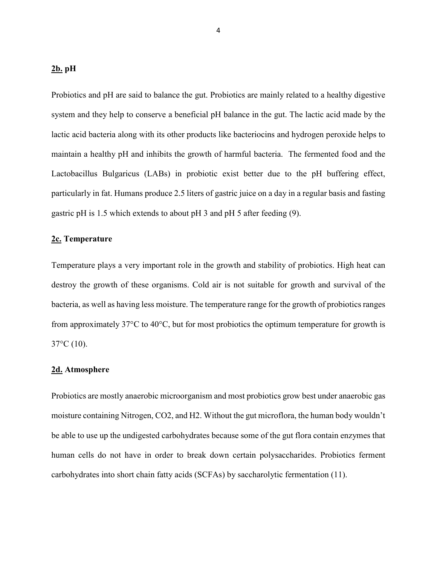# **2b. pH**

Probiotics and pH are said to balance the gut. Probiotics are mainly related to a healthy digestive system and they help to conserve a beneficial pH balance in the gut. The lactic acid made by the lactic acid bacteria along with its other products like bacteriocins and hydrogen peroxide helps to maintain a healthy pH and inhibits the growth of harmful bacteria. The fermented food and the Lactobacillus Bulgaricus (LABs) in probiotic exist better due to the pH buffering effect, particularly in fat. Humans produce 2.5 liters of gastric juice on a day in a regular basis and fasting gastric pH is 1.5 which extends to about pH 3 and pH 5 after feeding (9).

## **2c. Temperature**

Temperature plays a very important role in the growth and stability of probiotics. High heat can destroy the growth of these organisms. Cold air is not suitable for growth and survival of the bacteria, as well as having less moisture. The temperature range for the growth of probiotics ranges from approximately 37°C to 40°C, but for most probiotics the optimum temperature for growth is  $37^{\circ}$ C (10).

### **2d. Atmosphere**

Probiotics are mostly anaerobic microorganism and most probiotics grow best under anaerobic gas moisture containing Nitrogen, CO2, and H2. Without the gut microflora, the human body wouldn't be able to use up the undigested carbohydrates because some of the gut flora contain enzymes that human cells do not have in order to break down certain polysaccharides. Probiotics ferment carbohydrates into short chain fatty acids (SCFAs) by saccharolytic fermentation (11).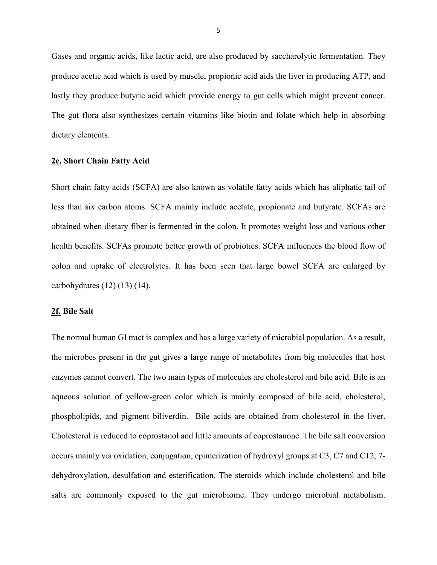Gases and organic acids, like lactic acid, are also produced by saccharolytic fermentation. They produce acetic acid which is used by muscle, propionic acid aids the liver in producing ATP, and lastly they produce butyric acid which provide energy to gut cells which might prevent cancer. The gut flora also synthesizes certain vitamins like biotin and folate which help in absorbing dietary elements.

#### **2e. Short Chain Fatty Acid**

Short chain fatty acids (SCFA) are also known as volatile fatty acids which has aliphatic tail of less than six carbon atoms. SCFA mainly include acetate, propionate and butyrate. SCFAs are obtained when dietary fiber is fermented in the colon. It promotes weight loss and various other health benefits. SCFAs promote better growth of probiotics. SCFA influences the blood flow of colon and uptake of electrolytes. It has been seen that large bowel SCFA are enlarged by carbohydrates (12) (13) (14).

#### **2f. Bile Salt**

The normal human GI tract is complex and has a large variety of microbial population. As a result, the microbes present in the gut gives a large range of metabolites from big molecules that host enzymes cannot convert. The two main types of molecules are cholesterol and bile acid. Bile is an aqueous solution of yellow-green color which is mainly composed of bile acid, cholesterol, phospholipids, and pigment biliverdin. Bile acids are obtained from cholesterol in the liver. Cholesterol is reduced to coprostanol and little amounts of coprostanone. The bile salt conversion occurs mainly via oxidation, conjugation, epimerization of hydroxyl groups at C3, C7 and C12, 7 dehydroxylation, desulfation and esterification. The steroids which include cholesterol and bile salts are commonly exposed to the gut microbiome. They undergo microbial metabolism.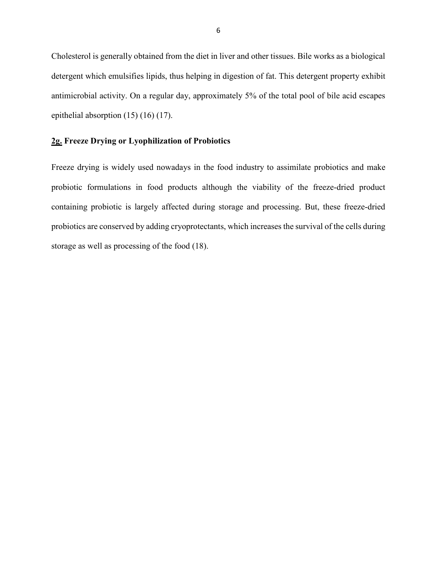Cholesterol is generally obtained from the diet in liver and other tissues. Bile works as a biological detergent which emulsifies lipids, thus helping in digestion of fat. This detergent property exhibit antimicrobial activity. On a regular day, approximately 5% of the total pool of bile acid escapes epithelial absorption (15) (16) (17).

# **2g. Freeze Drying or Lyophilization of Probiotics**

Freeze drying is widely used nowadays in the food industry to assimilate probiotics and make probiotic formulations in food products although the viability of the freeze-dried product containing probiotic is largely affected during storage and processing. But, these freeze-dried probiotics are conserved by adding cryoprotectants, which increases the survival of the cells during storage as well as processing of the food (18).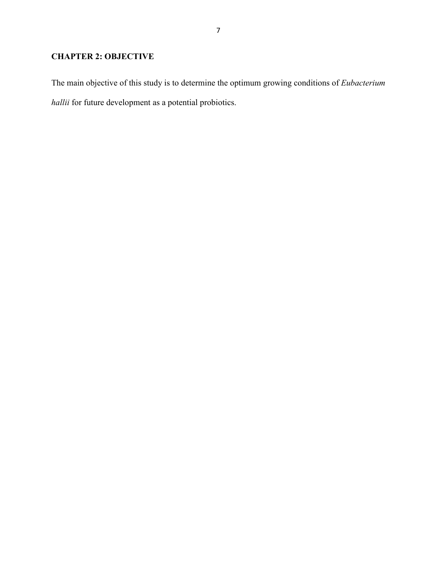# **CHAPTER 2: OBJECTIVE**

The main objective of this study is to determine the optimum growing conditions of *Eubacterium hallii* for future development as a potential probiotics.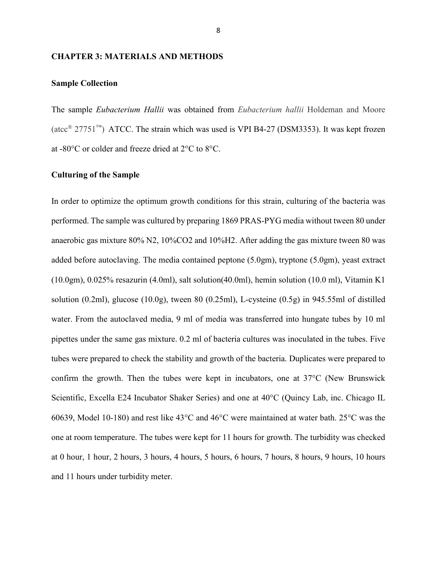#### **CHAPTER 3: MATERIALS AND METHODS**

## **Sample Collection**

The sample *Eubacterium Hallii* was obtained from *Eubacterium hallii* Holdeman and Moore (atcc<sup>®</sup> 27751<sup>™</sup>) ATCC. The strain which was used is VPI B4-27 (DSM3353). It was kept frozen at -80°C or colder and freeze dried at 2°C to 8°C.

# **Culturing of the Sample**

In order to optimize the optimum growth conditions for this strain, culturing of the bacteria was performed. The sample was cultured by preparing 1869 PRAS-PYG media without tween 80 under anaerobic gas mixture 80% N2, 10%CO2 and 10%H2. After adding the gas mixture tween 80 was added before autoclaving. The media contained peptone (5.0gm), tryptone (5.0gm), yeast extract (10.0gm), 0.025% resazurin (4.0ml), salt solution(40.0ml), hemin solution (10.0 ml), Vitamin K1 solution (0.2ml), glucose (10.0g), tween 80 (0.25ml), L-cysteine (0.5g) in 945.55ml of distilled water. From the autoclaved media, 9 ml of media was transferred into hungate tubes by 10 ml pipettes under the same gas mixture. 0.2 ml of bacteria cultures was inoculated in the tubes. Five tubes were prepared to check the stability and growth of the bacteria. Duplicates were prepared to confirm the growth. Then the tubes were kept in incubators, one at 37°C (New Brunswick Scientific, Excella E24 Incubator Shaker Series) and one at 40°C (Quincy Lab, inc. Chicago IL 60639, Model 10-180) and rest like 43°C and 46°C were maintained at water bath. 25°C was the one at room temperature. The tubes were kept for 11 hours for growth. The turbidity was checked at 0 hour, 1 hour, 2 hours, 3 hours, 4 hours, 5 hours, 6 hours, 7 hours, 8 hours, 9 hours, 10 hours and 11 hours under turbidity meter.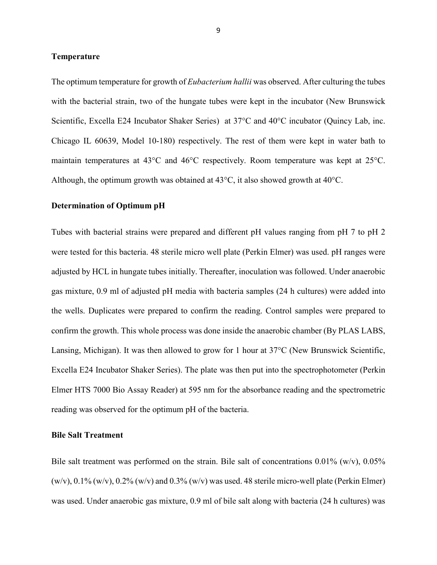#### **Temperature**

The optimum temperature for growth of *Eubacterium hallii* was observed. After culturing the tubes with the bacterial strain, two of the hungate tubes were kept in the incubator (New Brunswick Scientific, Excella E24 Incubator Shaker Series) at 37°C and 40°C incubator (Quincy Lab, inc. Chicago IL 60639, Model 10-180) respectively. The rest of them were kept in water bath to maintain temperatures at 43°C and 46°C respectively. Room temperature was kept at 25°C. Although, the optimum growth was obtained at 43°C, it also showed growth at 40°C.

#### **Determination of Optimum pH**

Tubes with bacterial strains were prepared and different pH values ranging from pH 7 to pH 2 were tested for this bacteria. 48 sterile micro well plate (Perkin Elmer) was used. pH ranges were adjusted by HCL in hungate tubes initially. Thereafter, inoculation was followed. Under anaerobic gas mixture, 0.9 ml of adjusted pH media with bacteria samples (24 h cultures) were added into the wells. Duplicates were prepared to confirm the reading. Control samples were prepared to confirm the growth. This whole process was done inside the anaerobic chamber (By PLAS LABS, Lansing, Michigan). It was then allowed to grow for 1 hour at 37°C (New Brunswick Scientific, Excella E24 Incubator Shaker Series). The plate was then put into the spectrophotometer (Perkin Elmer HTS 7000 Bio Assay Reader) at 595 nm for the absorbance reading and the spectrometric reading was observed for the optimum pH of the bacteria.

#### **Bile Salt Treatment**

Bile salt treatment was performed on the strain. Bile salt of concentrations  $0.01\%$  (w/v),  $0.05\%$  $(w/v)$ , 0.1%  $(w/v)$ , 0.2%  $(w/v)$  and 0.3%  $(w/v)$  was used. 48 sterile micro-well plate (Perkin Elmer) was used. Under anaerobic gas mixture, 0.9 ml of bile salt along with bacteria (24 h cultures) was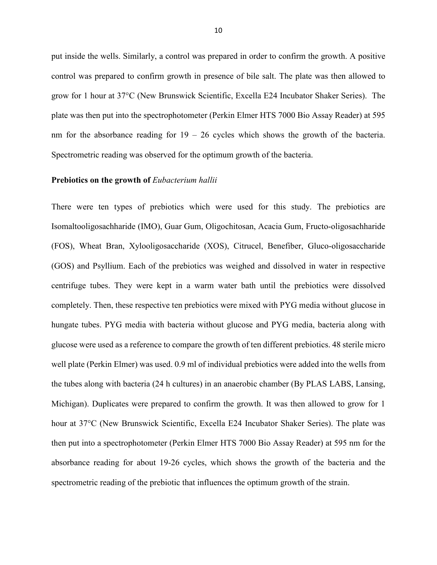put inside the wells. Similarly, a control was prepared in order to confirm the growth. A positive control was prepared to confirm growth in presence of bile salt. The plate was then allowed to grow for 1 hour at 37°C (New Brunswick Scientific, Excella E24 Incubator Shaker Series). The plate was then put into the spectrophotometer (Perkin Elmer HTS 7000 Bio Assay Reader) at 595 nm for the absorbance reading for  $19 - 26$  cycles which shows the growth of the bacteria. Spectrometric reading was observed for the optimum growth of the bacteria.

#### **Prebiotics on the growth of** *Eubacterium hallii*

There were ten types of prebiotics which were used for this study. The prebiotics are Isomaltooligosachharide (IMO), Guar Gum, Oligochitosan, Acacia Gum, Fructo-oligosachharide (FOS), Wheat Bran, Xylooligosaccharide (XOS), Citrucel, Benefiber, Gluco-oligosaccharide (GOS) and Psyllium. Each of the prebiotics was weighed and dissolved in water in respective centrifuge tubes. They were kept in a warm water bath until the prebiotics were dissolved completely. Then, these respective ten prebiotics were mixed with PYG media without glucose in hungate tubes. PYG media with bacteria without glucose and PYG media, bacteria along with glucose were used as a reference to compare the growth of ten different prebiotics. 48 sterile micro well plate (Perkin Elmer) was used. 0.9 ml of individual prebiotics were added into the wells from the tubes along with bacteria (24 h cultures) in an anaerobic chamber (By PLAS LABS, Lansing, Michigan). Duplicates were prepared to confirm the growth. It was then allowed to grow for 1 hour at 37°C (New Brunswick Scientific, Excella E24 Incubator Shaker Series). The plate was then put into a spectrophotometer (Perkin Elmer HTS 7000 Bio Assay Reader) at 595 nm for the absorbance reading for about 19-26 cycles, which shows the growth of the bacteria and the spectrometric reading of the prebiotic that influences the optimum growth of the strain.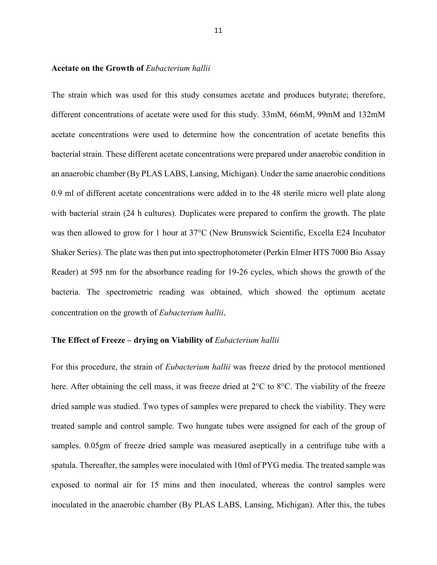#### **Acetate on the Growth of** *Eubacterium hallii*

The strain which was used for this study consumes acetate and produces butyrate; therefore, different concentrations of acetate were used for this study. 33mM, 66mM, 99mM and 132mM acetate concentrations were used to determine how the concentration of acetate benefits this bacterial strain. These different acetate concentrations were prepared under anaerobic condition in an anaerobic chamber (By PLAS LABS, Lansing, Michigan). Under the same anaerobic conditions 0.9 ml of different acetate concentrations were added in to the 48 sterile micro well plate along with bacterial strain (24 h cultures). Duplicates were prepared to confirm the growth. The plate was then allowed to grow for 1 hour at 37°C (New Brunswick Scientific, Excella E24 Incubator Shaker Series). The plate was then put into spectrophotometer (Perkin Elmer HTS 7000 Bio Assay Reader) at 595 nm for the absorbance reading for 19-26 cycles, which shows the growth of the bacteria. The spectrometric reading was obtained, which showed the optimum acetate concentration on the growth of *Eubacterium hallii*.

#### The Effect of Freeze – drying on Viability of *Eubacterium hallii*

For this procedure, the strain of *Eubacterium hallii* was freeze dried by the protocol mentioned here. After obtaining the cell mass, it was freeze dried at 2<sup>o</sup>C to 8<sup>o</sup>C. The viability of the freeze dried sample was studied. Two types of samples were prepared to check the viability. They were treated sample and control sample. Two hungate tubes were assigned for each of the group of samples. 0.05gm of freeze dried sample was measured aseptically in a centrifuge tube with a spatula. Thereafter, the samples were inoculated with 10ml of PYG media. The treated sample was exposed to normal air for 15 mins and then inoculated, whereas the control samples were inoculated in the anaerobic chamber (By PLAS LABS, Lansing, Michigan). After this, the tubes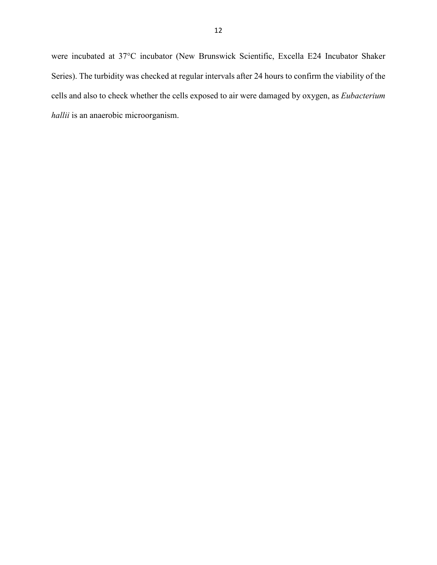were incubated at 37°C incubator (New Brunswick Scientific, Excella E24 Incubator Shaker Series). The turbidity was checked at regular intervals after 24 hours to confirm the viability of the cells and also to check whether the cells exposed to air were damaged by oxygen, as *Eubacterium hallii* is an anaerobic microorganism.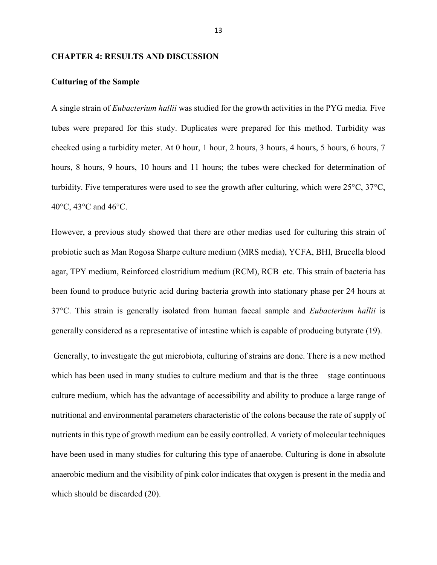#### **CHAPTER 4: RESULTS AND DISCUSSION**

#### **Culturing of the Sample**

A single strain of *Eubacterium hallii* was studied for the growth activities in the PYG media. Five tubes were prepared for this study. Duplicates were prepared for this method. Turbidity was checked using a turbidity meter. At 0 hour, 1 hour, 2 hours, 3 hours, 4 hours, 5 hours, 6 hours, 7 hours, 8 hours, 9 hours, 10 hours and 11 hours; the tubes were checked for determination of turbidity. Five temperatures were used to see the growth after culturing, which were 25°C, 37°C, 40°C, 43°C and 46°C.

However, a previous study showed that there are other medias used for culturing this strain of probiotic such as Man Rogosa Sharpe culture medium (MRS media), YCFA, BHI, Brucella blood agar, TPY medium, Reinforced clostridium medium (RCM), RCB etc. This strain of bacteria has been found to produce butyric acid during bacteria growth into stationary phase per 24 hours at 37°C. This strain is generally isolated from human faecal sample and *Eubacterium hallii* is generally considered as a representative of intestine which is capable of producing butyrate (19).

 Generally, to investigate the gut microbiota, culturing of strains are done. There is a new method which has been used in many studies to culture medium and that is the three – stage continuous culture medium, which has the advantage of accessibility and ability to produce a large range of nutritional and environmental parameters characteristic of the colons because the rate of supply of nutrients in this type of growth medium can be easily controlled. A variety of molecular techniques have been used in many studies for culturing this type of anaerobe. Culturing is done in absolute anaerobic medium and the visibility of pink color indicates that oxygen is present in the media and which should be discarded (20).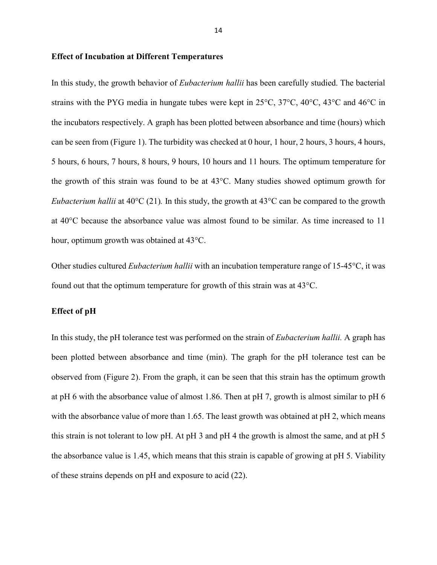#### **Effect of Incubation at Different Temperatures**

In this study, the growth behavior of *Eubacterium hallii* has been carefully studied. The bacterial strains with the PYG media in hungate tubes were kept in 25°C, 37°C, 40°C, 43°C and 46°C in the incubators respectively. A graph has been plotted between absorbance and time (hours) which can be seen from (Figure 1). The turbidity was checked at 0 hour, 1 hour, 2 hours, 3 hours, 4 hours, 5 hours, 6 hours, 7 hours, 8 hours, 9 hours, 10 hours and 11 hours. The optimum temperature for the growth of this strain was found to be at 43°C. Many studies showed optimum growth for *Eubacterium hallii* at 40<sup>o</sup>C (21). In this study, the growth at 43<sup>o</sup>C can be compared to the growth at 40°C because the absorbance value was almost found to be similar. As time increased to 11 hour, optimum growth was obtained at 43°C.

Other studies cultured *Eubacterium hallii* with an incubation temperature range of 15-45°C, it was found out that the optimum temperature for growth of this strain was at 43°C.

## **Effect of pH**

In this study, the pH tolerance test was performed on the strain of *Eubacterium hallii.* A graph has been plotted between absorbance and time (min). The graph for the pH tolerance test can be observed from (Figure 2). From the graph, it can be seen that this strain has the optimum growth at pH 6 with the absorbance value of almost 1.86. Then at pH 7, growth is almost similar to pH 6 with the absorbance value of more than 1.65. The least growth was obtained at pH 2, which means this strain is not tolerant to low pH. At pH 3 and pH 4 the growth is almost the same, and at pH 5 the absorbance value is 1.45, which means that this strain is capable of growing at pH 5. Viability of these strains depends on pH and exposure to acid (22).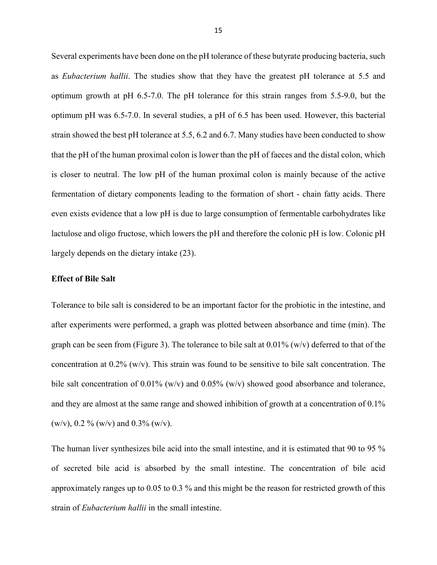Several experiments have been done on the pH tolerance of these butyrate producing bacteria, such as *Eubacterium hallii*. The studies show that they have the greatest pH tolerance at 5.5 and optimum growth at pH 6.5-7.0. The pH tolerance for this strain ranges from 5.5-9.0, but the optimum pH was 6.5-7.0. In several studies, a pH of 6.5 has been used. However, this bacterial strain showed the best pH tolerance at 5.5, 6.2 and 6.7. Many studies have been conducted to show that the pH of the human proximal colon is lower than the pH of faeces and the distal colon, which is closer to neutral. The low pH of the human proximal colon is mainly because of the active fermentation of dietary components leading to the formation of short - chain fatty acids. There even exists evidence that a low pH is due to large consumption of fermentable carbohydrates like lactulose and oligo fructose, which lowers the pH and therefore the colonic pH is low. Colonic pH largely depends on the dietary intake (23).

#### **Effect of Bile Salt**

Tolerance to bile salt is considered to be an important factor for the probiotic in the intestine, and after experiments were performed, a graph was plotted between absorbance and time (min). The graph can be seen from (Figure 3). The tolerance to bile salt at  $0.01\%$  (w/v) deferred to that of the concentration at 0.2% (w/v). This strain was found to be sensitive to bile salt concentration. The bile salt concentration of 0.01% (w/v) and 0.05% (w/v) showed good absorbance and tolerance, and they are almost at the same range and showed inhibition of growth at a concentration of 0.1% (w/v), 0.2 % (w/v) and 0.3% (w/v).

The human liver synthesizes bile acid into the small intestine, and it is estimated that 90 to 95 % of secreted bile acid is absorbed by the small intestine. The concentration of bile acid approximately ranges up to 0.05 to 0.3 % and this might be the reason for restricted growth of this strain of *Eubacterium hallii* in the small intestine.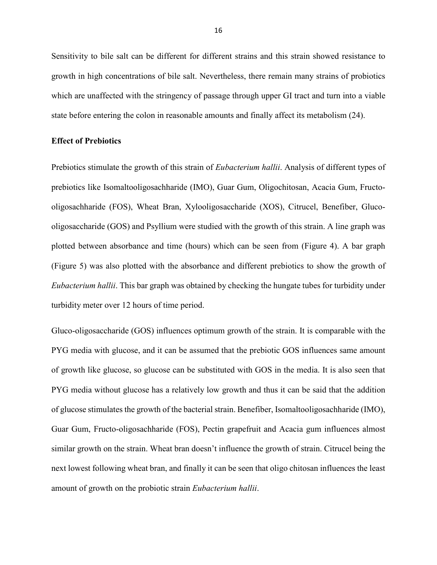Sensitivity to bile salt can be different for different strains and this strain showed resistance to growth in high concentrations of bile salt. Nevertheless, there remain many strains of probiotics which are unaffected with the stringency of passage through upper GI tract and turn into a viable state before entering the colon in reasonable amounts and finally affect its metabolism (24).

## **Effect of Prebiotics**

Prebiotics stimulate the growth of this strain of *Eubacterium hallii*. Analysis of different types of prebiotics like Isomaltooligosachharide (IMO), Guar Gum, Oligochitosan, Acacia Gum, Fructooligosachharide (FOS), Wheat Bran, Xylooligosaccharide (XOS), Citrucel, Benefiber, Glucooligosaccharide (GOS) and Psyllium were studied with the growth of this strain. A line graph was plotted between absorbance and time (hours) which can be seen from (Figure 4). A bar graph (Figure 5) was also plotted with the absorbance and different prebiotics to show the growth of *Eubacterium hallii*. This bar graph was obtained by checking the hungate tubes for turbidity under turbidity meter over 12 hours of time period.

Gluco-oligosaccharide (GOS) influences optimum growth of the strain. It is comparable with the PYG media with glucose, and it can be assumed that the prebiotic GOS influences same amount of growth like glucose, so glucose can be substituted with GOS in the media. It is also seen that PYG media without glucose has a relatively low growth and thus it can be said that the addition of glucose stimulates the growth of the bacterial strain. Benefiber, Isomaltooligosachharide (IMO), Guar Gum, Fructo-oligosachharide (FOS), Pectin grapefruit and Acacia gum influences almost similar growth on the strain. Wheat bran doesn't influence the growth of strain. Citrucel being the next lowest following wheat bran, and finally it can be seen that oligo chitosan influences the least amount of growth on the probiotic strain *Eubacterium hallii*.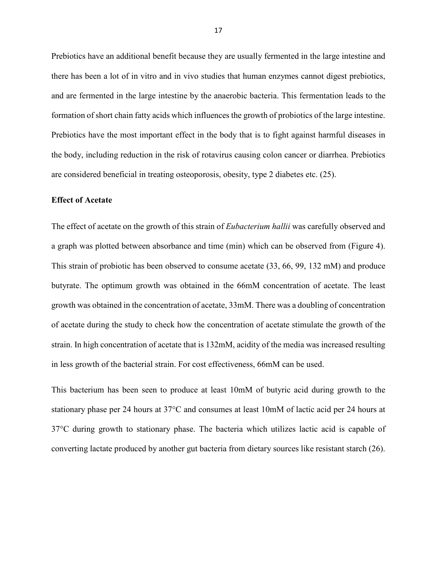Prebiotics have an additional benefit because they are usually fermented in the large intestine and there has been a lot of in vitro and in vivo studies that human enzymes cannot digest prebiotics, and are fermented in the large intestine by the anaerobic bacteria. This fermentation leads to the formation of short chain fatty acids which influences the growth of probiotics of the large intestine. Prebiotics have the most important effect in the body that is to fight against harmful diseases in the body, including reduction in the risk of rotavirus causing colon cancer or diarrhea. Prebiotics are considered beneficial in treating osteoporosis, obesity, type 2 diabetes etc. (25).

## **Effect of Acetate**

The effect of acetate on the growth of this strain of *Eubacterium hallii* was carefully observed and a graph was plotted between absorbance and time (min) which can be observed from (Figure 4). This strain of probiotic has been observed to consume acetate (33, 66, 99, 132 mM) and produce butyrate. The optimum growth was obtained in the 66mM concentration of acetate. The least growth was obtained in the concentration of acetate, 33mM. There was a doubling of concentration of acetate during the study to check how the concentration of acetate stimulate the growth of the strain. In high concentration of acetate that is 132mM, acidity of the media was increased resulting in less growth of the bacterial strain. For cost effectiveness, 66mM can be used.

This bacterium has been seen to produce at least 10mM of butyric acid during growth to the stationary phase per 24 hours at 37°C and consumes at least 10mM of lactic acid per 24 hours at 37°C during growth to stationary phase. The bacteria which utilizes lactic acid is capable of converting lactate produced by another gut bacteria from dietary sources like resistant starch (26).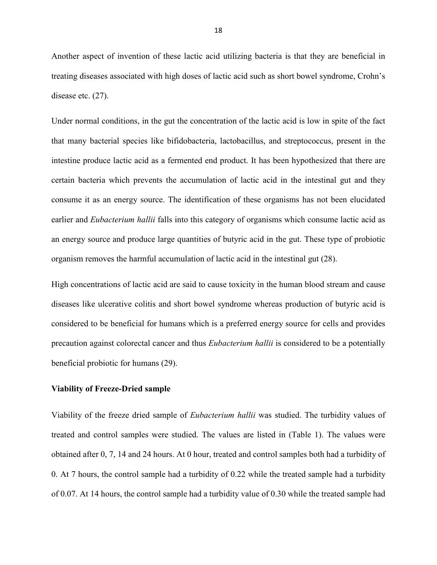Another aspect of invention of these lactic acid utilizing bacteria is that they are beneficial in treating diseases associated with high doses of lactic acid such as short bowel syndrome, Crohn's disease etc. (27).

Under normal conditions, in the gut the concentration of the lactic acid is low in spite of the fact that many bacterial species like bifidobacteria, lactobacillus, and streptococcus, present in the intestine produce lactic acid as a fermented end product. It has been hypothesized that there are certain bacteria which prevents the accumulation of lactic acid in the intestinal gut and they consume it as an energy source. The identification of these organisms has not been elucidated earlier and *Eubacterium hallii* falls into this category of organisms which consume lactic acid as an energy source and produce large quantities of butyric acid in the gut. These type of probiotic organism removes the harmful accumulation of lactic acid in the intestinal gut (28).

High concentrations of lactic acid are said to cause toxicity in the human blood stream and cause diseases like ulcerative colitis and short bowel syndrome whereas production of butyric acid is considered to be beneficial for humans which is a preferred energy source for cells and provides precaution against colorectal cancer and thus *Eubacterium hallii* is considered to be a potentially beneficial probiotic for humans (29).

#### **Viability of Freeze-Dried sample**

Viability of the freeze dried sample of *Eubacterium hallii* was studied. The turbidity values of treated and control samples were studied. The values are listed in (Table 1). The values were obtained after 0, 7, 14 and 24 hours. At 0 hour, treated and control samples both had a turbidity of 0. At 7 hours, the control sample had a turbidity of 0.22 while the treated sample had a turbidity of 0.07. At 14 hours, the control sample had a turbidity value of 0.30 while the treated sample had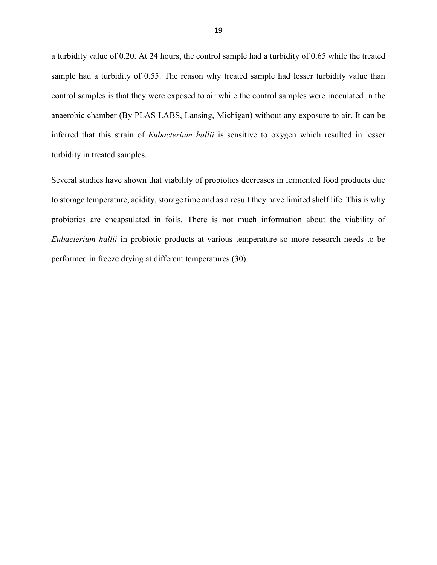a turbidity value of 0.20. At 24 hours, the control sample had a turbidity of 0.65 while the treated sample had a turbidity of 0.55. The reason why treated sample had lesser turbidity value than control samples is that they were exposed to air while the control samples were inoculated in the anaerobic chamber (By PLAS LABS, Lansing, Michigan) without any exposure to air. It can be inferred that this strain of *Eubacterium hallii* is sensitive to oxygen which resulted in lesser turbidity in treated samples.

Several studies have shown that viability of probiotics decreases in fermented food products due to storage temperature, acidity, storage time and as a result they have limited shelf life. This is why probiotics are encapsulated in foils. There is not much information about the viability of *Eubacterium hallii* in probiotic products at various temperature so more research needs to be performed in freeze drying at different temperatures (30).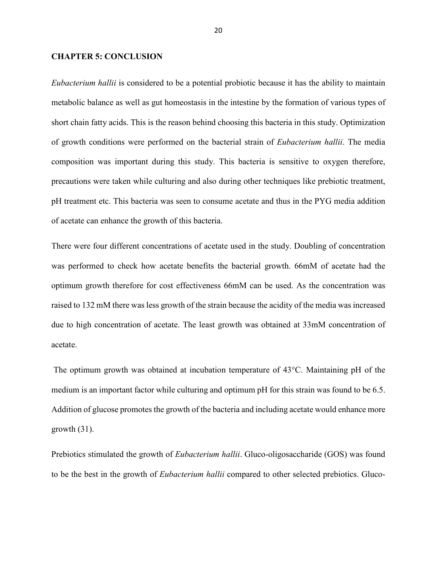#### **CHAPTER 5: CONCLUSION**

*Eubacterium hallii* is considered to be a potential probiotic because it has the ability to maintain metabolic balance as well as gut homeostasis in the intestine by the formation of various types of short chain fatty acids. This is the reason behind choosing this bacteria in this study. Optimization of growth conditions were performed on the bacterial strain of *Eubacterium hallii*. The media composition was important during this study. This bacteria is sensitive to oxygen therefore, precautions were taken while culturing and also during other techniques like prebiotic treatment, pH treatment etc. This bacteria was seen to consume acetate and thus in the PYG media addition of acetate can enhance the growth of this bacteria.

There were four different concentrations of acetate used in the study. Doubling of concentration was performed to check how acetate benefits the bacterial growth. 66mM of acetate had the optimum growth therefore for cost effectiveness 66mM can be used. As the concentration was raised to 132 mM there was less growth of the strain because the acidity of the media was increased due to high concentration of acetate. The least growth was obtained at 33mM concentration of acetate.

 The optimum growth was obtained at incubation temperature of 43°C. Maintaining pH of the medium is an important factor while culturing and optimum pH for this strain was found to be 6.5. Addition of glucose promotes the growth of the bacteria and including acetate would enhance more growth  $(31)$ .

Prebiotics stimulated the growth of *Eubacterium hallii*. Gluco-oligosaccharide (GOS) was found to be the best in the growth of *Eubacterium hallii* compared to other selected prebiotics. Gluco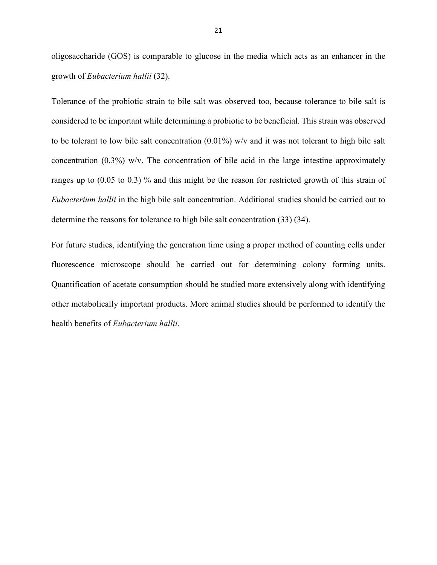oligosaccharide (GOS) is comparable to glucose in the media which acts as an enhancer in the growth of *Eubacterium hallii* (32).

Tolerance of the probiotic strain to bile salt was observed too, because tolerance to bile salt is considered to be important while determining a probiotic to be beneficial. This strain was observed to be tolerant to low bile salt concentration (0.01%) w/v and it was not tolerant to high bile salt concentration (0.3%) w/v. The concentration of bile acid in the large intestine approximately ranges up to (0.05 to 0.3) % and this might be the reason for restricted growth of this strain of *Eubacterium hallii* in the high bile salt concentration. Additional studies should be carried out to determine the reasons for tolerance to high bile salt concentration (33) (34).

For future studies, identifying the generation time using a proper method of counting cells under fluorescence microscope should be carried out for determining colony forming units. Quantification of acetate consumption should be studied more extensively along with identifying other metabolically important products. More animal studies should be performed to identify the health benefits of *Eubacterium hallii*.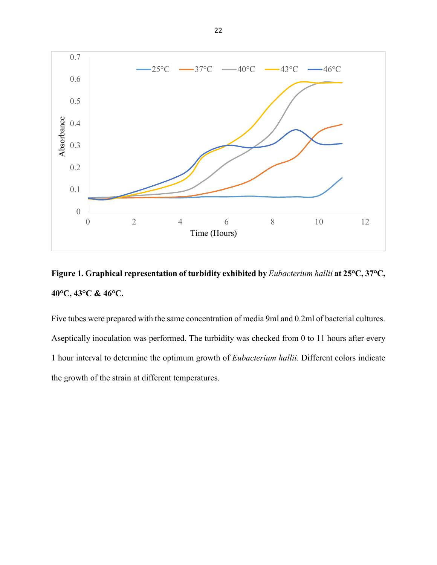

# **Figure 1. Graphical representation of turbidity exhibited by** *Eubacterium hallii* **at 25°C, 37°C, 40°C, 43°C & 46°C.**

Five tubes were prepared with the same concentration of media 9ml and 0.2ml of bacterial cultures. Aseptically inoculation was performed. The turbidity was checked from 0 to 11 hours after every 1 hour interval to determine the optimum growth of *Eubacterium hallii*. Different colors indicate the growth of the strain at different temperatures.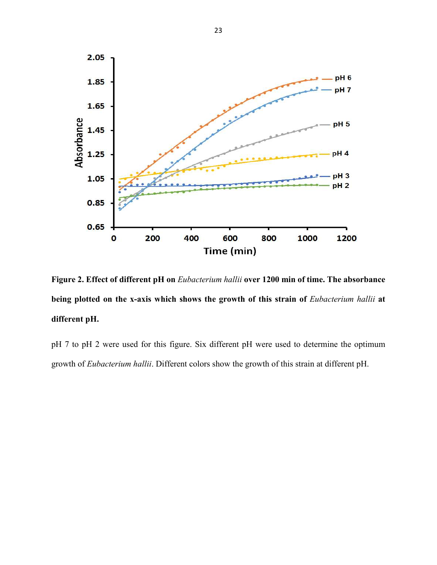

**Figure 2. Effect of different pH on** *Eubacterium hallii* **over 1200 min of time. The absorbance**  being plotted on the x-axis which shows the growth of this strain of *Eubacterium hallii* at **different pH.** 

pH 7 to pH 2 were used for this figure. Six different pH were used to determine the optimum growth of *Eubacterium hallii*. Different colors show the growth of this strain at different pH.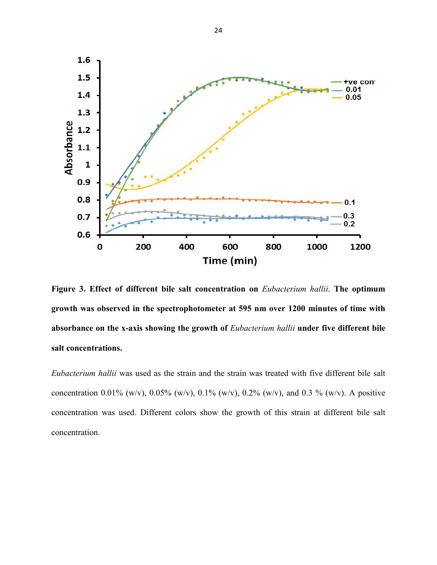

**Figure 3. Effect of different bile salt concentration on** *Eubacterium hallii*. **The optimum growth was observed in the spectrophotometer at 595 nm over 1200 minutes of time with absorbance on the x-axis showing the growth of** *Eubacterium hallii* **under five different bile salt concentrations.** 

*Eubacterium hallii* was used as the strain and the strain was treated with five different bile salt concentration 0.01% (w/v), 0.05% (w/v), 0.1% (w/v), 0.2% (w/v), and 0.3 % (w/v). A positive concentration was used. Different colors show the growth of this strain at different bile salt concentration.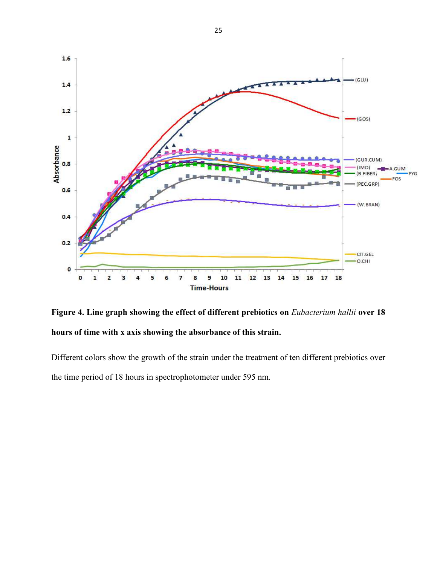

**Figure 4. Line graph showing the effect of different prebiotics on** *Eubacterium hallii* **over 18 hours of time with x axis showing the absorbance of this strain.** 

Different colors show the growth of the strain under the treatment of ten different prebiotics over the time period of 18 hours in spectrophotometer under 595 nm.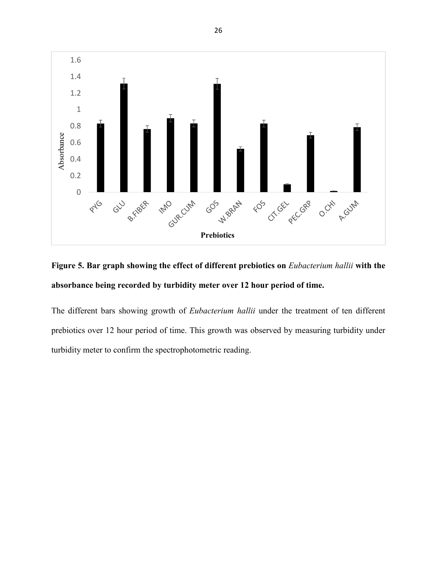

![](_page_34_Figure_1.jpeg)

The different bars showing growth of *Eubacterium hallii* under the treatment of ten different prebiotics over 12 hour period of time. This growth was observed by measuring turbidity under turbidity meter to confirm the spectrophotometric reading.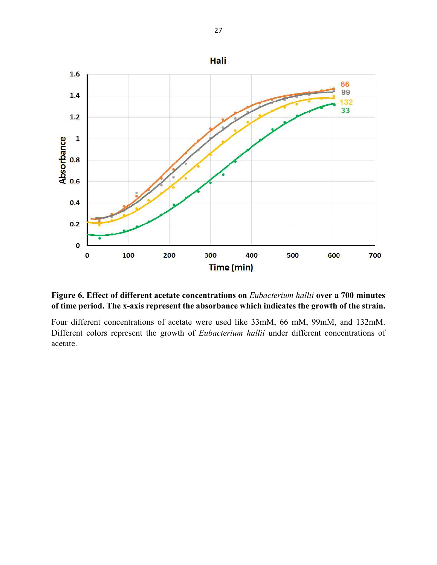![](_page_35_Figure_0.jpeg)

# **Figure 6. Effect of different acetate concentrations on** *Eubacterium hallii* **over a 700 minutes of time period. The x-axis represent the absorbance which indicates the growth of the strain.**

Four different concentrations of acetate were used like 33mM, 66 mM, 99mM, and 132mM. Different colors represent the growth of *Eubacterium hallii* under different concentrations of acetate.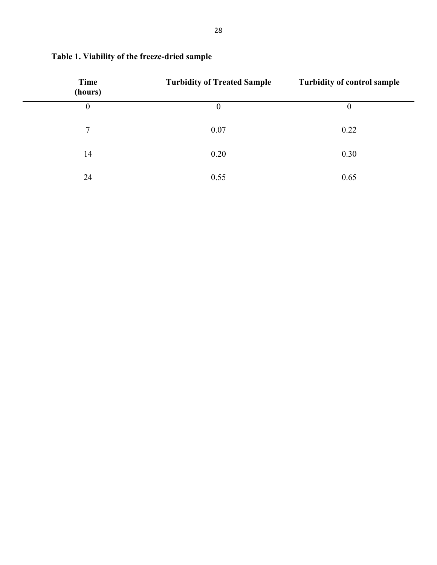| Time<br>(hours) | <b>Turbidity of Treated Sample</b> | <b>Turbidity of control sample</b> |
|-----------------|------------------------------------|------------------------------------|
| $\overline{0}$  | $\boldsymbol{0}$                   | $\boldsymbol{0}$                   |
| $7\overline{ }$ | 0.07                               | 0.22                               |
| 14              | 0.20                               | 0.30                               |
| 24              | 0.55                               | 0.65                               |

# **Table 1. Viability of the freeze-dried sample**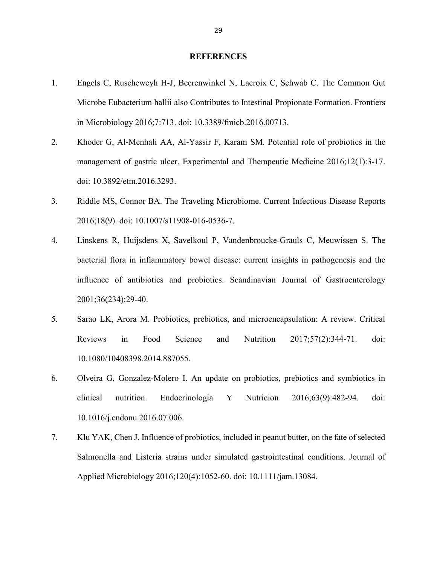#### **REFERENCES**

- 1. Engels C, Ruscheweyh H-J, Beerenwinkel N, Lacroix C, Schwab C. The Common Gut Microbe Eubacterium hallii also Contributes to Intestinal Propionate Formation. Frontiers in Microbiology 2016;7:713. doi: 10.3389/fmicb.2016.00713.
- 2. Khoder G, Al-Menhali AA, Al-Yassir F, Karam SM. Potential role of probiotics in the management of gastric ulcer. Experimental and Therapeutic Medicine 2016;12(1):3-17. doi: 10.3892/etm.2016.3293.
- 3. Riddle MS, Connor BA. The Traveling Microbiome. Current Infectious Disease Reports 2016;18(9). doi: 10.1007/s11908-016-0536-7.
- 4. Linskens R, Huijsdens X, Savelkoul P, Vandenbroucke-Grauls C, Meuwissen S. The bacterial flora in inflammatory bowel disease: current insights in pathogenesis and the influence of antibiotics and probiotics. Scandinavian Journal of Gastroenterology 2001;36(234):29-40.
- 5. Sarao LK, Arora M. Probiotics, prebiotics, and microencapsulation: A review. Critical Reviews in Food Science and Nutrition 2017;57(2):344-71. doi: 10.1080/10408398.2014.887055.
- 6. Olveira G, Gonzalez-Molero I. An update on probiotics, prebiotics and symbiotics in clinical nutrition. Endocrinologia Y Nutricion 2016;63(9):482-94. doi: 10.1016/j.endonu.2016.07.006.
- 7. Klu YAK, Chen J. Influence of probiotics, included in peanut butter, on the fate of selected Salmonella and Listeria strains under simulated gastrointestinal conditions. Journal of Applied Microbiology 2016;120(4):1052-60. doi: 10.1111/jam.13084.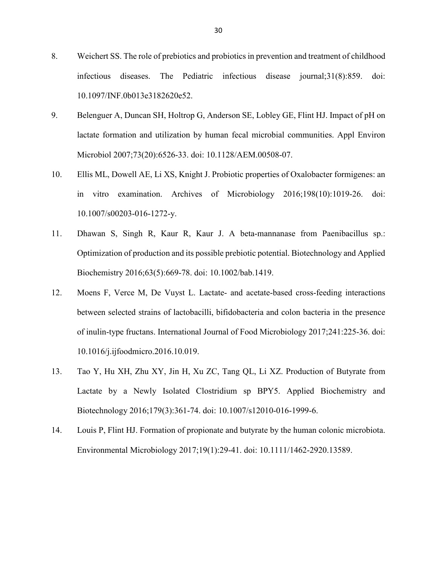- 8. Weichert SS. The role of prebiotics and probiotics in prevention and treatment of childhood infectious diseases. The Pediatric infectious disease journal;31(8):859. doi: 10.1097/INF.0b013e3182620e52.
- 9. Belenguer A, Duncan SH, Holtrop G, Anderson SE, Lobley GE, Flint HJ. Impact of pH on lactate formation and utilization by human fecal microbial communities. Appl Environ Microbiol 2007;73(20):6526-33. doi: 10.1128/AEM.00508-07.
- 10. Ellis ML, Dowell AE, Li XS, Knight J. Probiotic properties of Oxalobacter formigenes: an in vitro examination. Archives of Microbiology 2016;198(10):1019-26. doi: 10.1007/s00203-016-1272-y.
- 11. Dhawan S, Singh R, Kaur R, Kaur J. A beta-mannanase from Paenibacillus sp.: Optimization of production and its possible prebiotic potential. Biotechnology and Applied Biochemistry 2016;63(5):669-78. doi: 10.1002/bab.1419.
- 12. Moens F, Verce M, De Vuyst L. Lactate- and acetate-based cross-feeding interactions between selected strains of lactobacilli, bifidobacteria and colon bacteria in the presence of inulin-type fructans. International Journal of Food Microbiology 2017;241:225-36. doi: 10.1016/j.ijfoodmicro.2016.10.019.
- 13. Tao Y, Hu XH, Zhu XY, Jin H, Xu ZC, Tang QL, Li XZ. Production of Butyrate from Lactate by a Newly Isolated Clostridium sp BPY5. Applied Biochemistry and Biotechnology 2016;179(3):361-74. doi: 10.1007/s12010-016-1999-6.
- 14. Louis P, Flint HJ. Formation of propionate and butyrate by the human colonic microbiota. Environmental Microbiology 2017;19(1):29-41. doi: 10.1111/1462-2920.13589.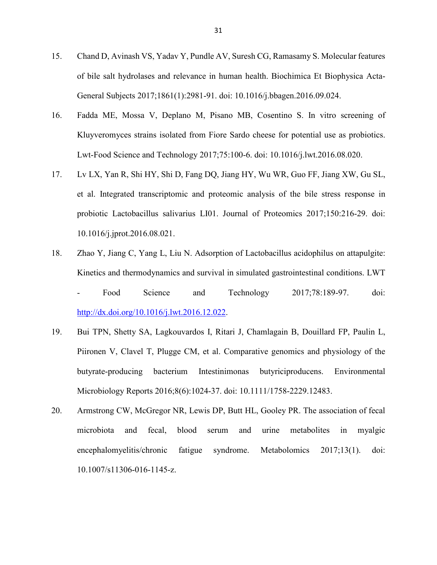- 15. Chand D, Avinash VS, Yadav Y, Pundle AV, Suresh CG, Ramasamy S. Molecular features of bile salt hydrolases and relevance in human health. Biochimica Et Biophysica Acta-General Subjects 2017;1861(1):2981-91. doi: 10.1016/j.bbagen.2016.09.024.
- 16. Fadda ME, Mossa V, Deplano M, Pisano MB, Cosentino S. In vitro screening of Kluyveromyces strains isolated from Fiore Sardo cheese for potential use as probiotics. Lwt-Food Science and Technology 2017;75:100-6. doi: 10.1016/j.lwt.2016.08.020.
- 17. Lv LX, Yan R, Shi HY, Shi D, Fang DQ, Jiang HY, Wu WR, Guo FF, Jiang XW, Gu SL, et al. Integrated transcriptomic and proteomic analysis of the bile stress response in probiotic Lactobacillus salivarius LI01. Journal of Proteomics 2017;150:216-29. doi: 10.1016/j.jprot.2016.08.021.
- 18. Zhao Y, Jiang C, Yang L, Liu N. Adsorption of Lactobacillus acidophilus on attapulgite: Kinetics and thermodynamics and survival in simulated gastrointestinal conditions. LWT
	- Food Science and Technology 2017;78:189-97. doi: http://dx.doi.org/10.1016/j.lwt.2016.12.022.
- 19. Bui TPN, Shetty SA, Lagkouvardos I, Ritari J, Chamlagain B, Douillard FP, Paulin L, Piironen V, Clavel T, Plugge CM, et al. Comparative genomics and physiology of the butyrate-producing bacterium Intestinimonas butyriciproducens. Environmental Microbiology Reports 2016;8(6):1024-37. doi: 10.1111/1758-2229.12483.
- 20. Armstrong CW, McGregor NR, Lewis DP, Butt HL, Gooley PR. The association of fecal microbiota and fecal, blood serum and urine metabolites in myalgic encephalomyelitis/chronic fatigue syndrome. Metabolomics 2017;13(1). doi: 10.1007/s11306-016-1145-z.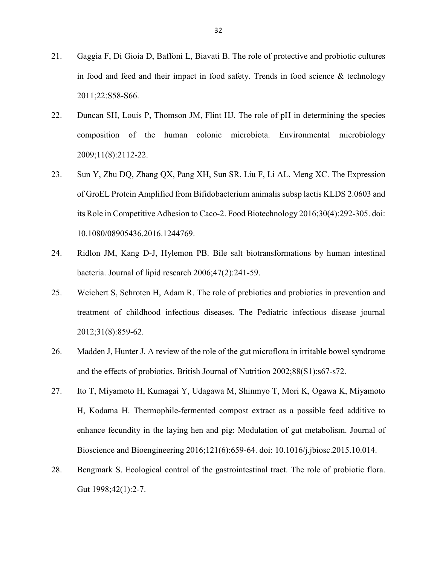- 21. Gaggia F, Di Gioia D, Baffoni L, Biavati B. The role of protective and probiotic cultures in food and feed and their impact in food safety. Trends in food science  $\&$  technology 2011;22:S58-S66.
- 22. Duncan SH, Louis P, Thomson JM, Flint HJ. The role of pH in determining the species composition of the human colonic microbiota. Environmental microbiology 2009;11(8):2112-22.
- 23. Sun Y, Zhu DQ, Zhang QX, Pang XH, Sun SR, Liu F, Li AL, Meng XC. The Expression of GroEL Protein Amplified from Bifidobacterium animalis subsp lactis KLDS 2.0603 and its Role in Competitive Adhesion to Caco-2. Food Biotechnology 2016;30(4):292-305. doi: 10.1080/08905436.2016.1244769.
- 24. Ridlon JM, Kang D-J, Hylemon PB. Bile salt biotransformations by human intestinal bacteria. Journal of lipid research 2006;47(2):241-59.
- 25. Weichert S, Schroten H, Adam R. The role of prebiotics and probiotics in prevention and treatment of childhood infectious diseases. The Pediatric infectious disease journal 2012;31(8):859-62.
- 26. Madden J, Hunter J. A review of the role of the gut microflora in irritable bowel syndrome and the effects of probiotics. British Journal of Nutrition 2002;88(S1):s67-s72.
- 27. Ito T, Miyamoto H, Kumagai Y, Udagawa M, Shinmyo T, Mori K, Ogawa K, Miyamoto H, Kodama H. Thermophile-fermented compost extract as a possible feed additive to enhance fecundity in the laying hen and pig: Modulation of gut metabolism. Journal of Bioscience and Bioengineering 2016;121(6):659-64. doi: 10.1016/j.jbiosc.2015.10.014.
- 28. Bengmark S. Ecological control of the gastrointestinal tract. The role of probiotic flora. Gut 1998;42(1):2-7.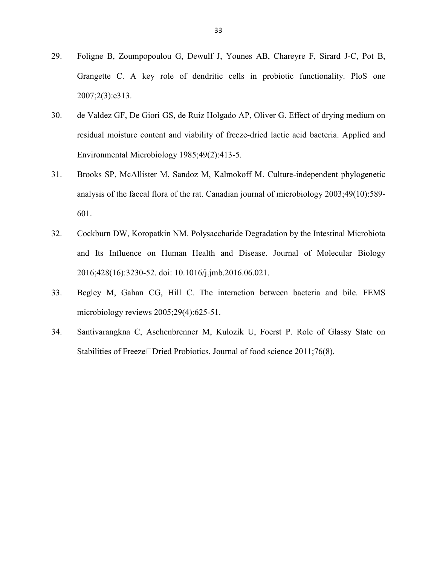- 29. Foligne B, Zoumpopoulou G, Dewulf J, Younes AB, Chareyre F, Sirard J-C, Pot B, Grangette C. A key role of dendritic cells in probiotic functionality. PloS one 2007;2(3):e313.
- 30. de Valdez GF, De Giori GS, de Ruiz Holgado AP, Oliver G. Effect of drying medium on residual moisture content and viability of freeze-dried lactic acid bacteria. Applied and Environmental Microbiology 1985;49(2):413-5.
- 31. Brooks SP, McAllister M, Sandoz M, Kalmokoff M. Culture-independent phylogenetic analysis of the faecal flora of the rat. Canadian journal of microbiology 2003;49(10):589- 601.
- 32. Cockburn DW, Koropatkin NM. Polysaccharide Degradation by the Intestinal Microbiota and Its Influence on Human Health and Disease. Journal of Molecular Biology 2016;428(16):3230-52. doi: 10.1016/j.jmb.2016.06.021.
- 33. Begley M, Gahan CG, Hill C. The interaction between bacteria and bile. FEMS microbiology reviews 2005;29(4):625-51.
- 34. Santivarangkna C, Aschenbrenner M, Kulozik U, Foerst P. Role of Glassy State on Stabilities of Freeze  $\Box$ Dried Probiotics. Journal of food science 2011;76(8).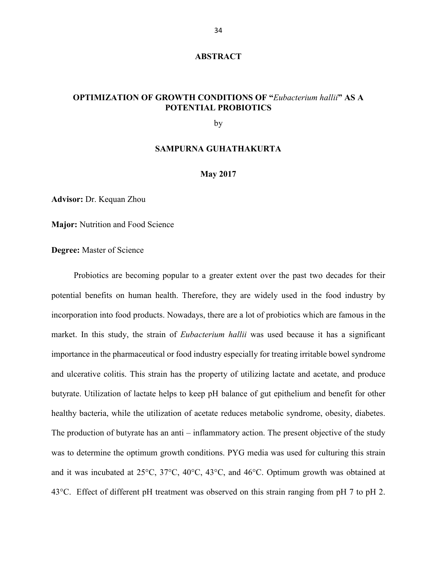#### **ABSTRACT**

# **OPTIMIZATION OF GROWTH CONDITIONS OF "***Eubacterium hallii***" AS A POTENTIAL PROBIOTICS**

by

#### **SAMPURNA GUHATHAKURTA**

#### **May 2017**

**Advisor:** Dr. Kequan Zhou

**Major:** Nutrition and Food Science

**Degree:** Master of Science

 Probiotics are becoming popular to a greater extent over the past two decades for their potential benefits on human health. Therefore, they are widely used in the food industry by incorporation into food products. Nowadays, there are a lot of probiotics which are famous in the market. In this study, the strain of *Eubacterium hallii* was used because it has a significant importance in the pharmaceutical or food industry especially for treating irritable bowel syndrome and ulcerative colitis. This strain has the property of utilizing lactate and acetate, and produce butyrate. Utilization of lactate helps to keep pH balance of gut epithelium and benefit for other healthy bacteria, while the utilization of acetate reduces metabolic syndrome, obesity, diabetes. The production of butyrate has an anti – inflammatory action. The present objective of the study was to determine the optimum growth conditions. PYG media was used for culturing this strain and it was incubated at 25°C, 37°C, 40°C, 43°C, and 46°C. Optimum growth was obtained at 43°C. Effect of different pH treatment was observed on this strain ranging from pH 7 to pH 2.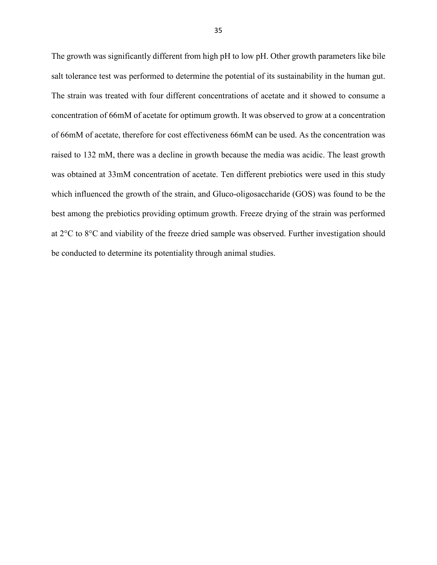The growth was significantly different from high pH to low pH. Other growth parameters like bile salt tolerance test was performed to determine the potential of its sustainability in the human gut. The strain was treated with four different concentrations of acetate and it showed to consume a concentration of 66mM of acetate for optimum growth. It was observed to grow at a concentration of 66mM of acetate, therefore for cost effectiveness 66mM can be used. As the concentration was raised to 132 mM, there was a decline in growth because the media was acidic. The least growth was obtained at 33mM concentration of acetate. Ten different prebiotics were used in this study which influenced the growth of the strain, and Gluco-oligosaccharide (GOS) was found to be the best among the prebiotics providing optimum growth. Freeze drying of the strain was performed at 2°C to 8°C and viability of the freeze dried sample was observed. Further investigation should be conducted to determine its potentiality through animal studies.